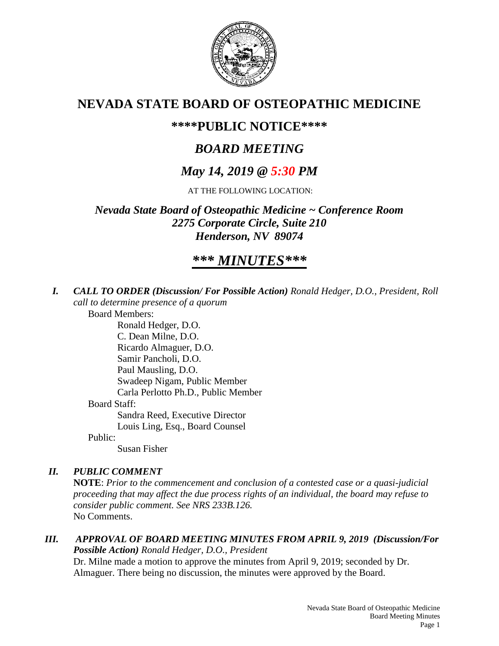

# **NEVADA STATE BOARD OF OSTEOPATHIC MEDICINE**

## **\*\*\*\*PUBLIC NOTICE\*\*\*\***

# *BOARD MEETING*

# *May 14, 2019 @ 5:30 PM*

AT THE FOLLOWING LOCATION:

*Nevada State Board of Osteopathic Medicine ~ Conference Room 2275 Corporate Circle, Suite 210 Henderson, NV 89074*

# *\*\*\* MINUTES\*\*\**

*I. CALL TO ORDER (Discussion/ For Possible Action) Ronald Hedger, D.O., President, Roll call to determine presence of a quorum*

Board Members: Ronald Hedger, D.O. C. Dean Milne, D.O. Ricardo Almaguer, D.O. Samir Pancholi, D.O. Paul Mausling, D.O. Swadeep Nigam, Public Member Carla Perlotto Ph.D., Public Member Board Staff: Sandra Reed, Executive Director Louis Ling, Esq., Board Counsel Public:

Susan Fisher

## *II. PUBLIC COMMENT*

**NOTE**: *Prior to the commencement and conclusion of a contested case or a quasi-judicial proceeding that may affect the due process rights of an individual, the board may refuse to consider public comment. See NRS 233B.126.* No Comments.

*III. APPROVAL OF BOARD MEETING MINUTES FROM APRIL 9, 2019 (Discussion/For Possible Action) Ronald Hedger, D.O., President* Dr. Milne made a motion to approve the minutes from April 9, 2019; seconded by Dr. Almaguer. There being no discussion, the minutes were approved by the Board.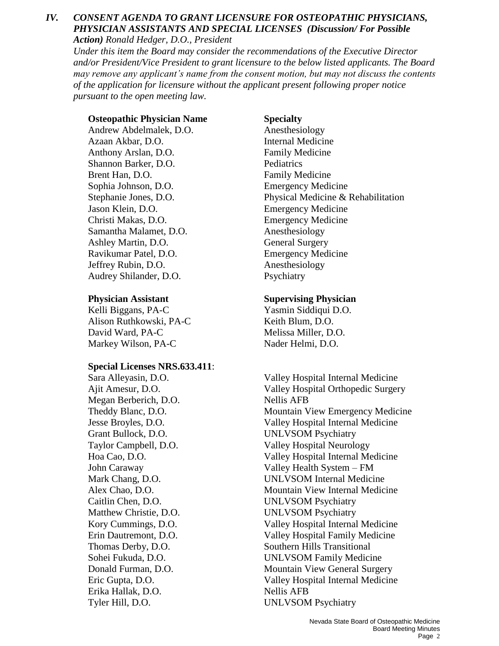### *IV. CONSENT AGENDA TO GRANT LICENSURE FOR OSTEOPATHIC PHYSICIANS, PHYSICIAN ASSISTANTS AND SPECIAL LICENSES (Discussion/ For Possible Action) Ronald Hedger, D.O., President*

*Under this item the Board may consider the recommendations of the Executive Director and/or President/Vice President to grant licensure to the below listed applicants. The Board may remove any applicant's name from the consent motion, but may not discuss the contents of the application for licensure without the applicant present following proper notice pursuant to the open meeting law.*

## **Osteopathic Physician Name Specialty**

Andrew Abdelmalek, D.O. Anesthesiology Azaan Akbar, D.O. Internal Medicine Anthony Arslan, D.O. **Family Medicine** Shannon Barker, D.O. Pediatrics Brent Han, D.O. **Family Medicine** Sophia Johnson, D.O. Emergency Medicine Jason Klein, D.O. Emergency Medicine Christi Makas, D.O. Emergency Medicine Samantha Malamet, D.O. Anesthesiology Ashley Martin, D.O. General Surgery Ravikumar Patel, D.O. Emergency Medicine Jeffrey Rubin, D.O. Anesthesiology Audrey Shilander, D.O. Psychiatry

Kelli Biggans, PA-C Yasmin Siddiqui D.O. Alison Ruthkowski, PA-C Keith Blum, D.O. David Ward, PA-C Melissa Miller, D.O. Markey Wilson, PA-C Nader Helmi, D.O.

### **Special Licenses NRS.633.411**:

Megan Berberich, D.O. Nellis AFB Grant Bullock, D.O. UNLVSOM Psychiatry Caitlin Chen, D.O. UNLVSOM Psychiatry Matthew Christie, D.O. UNLVSOM Psychiatry Erika Hallak, D.O. Nellis AFB

Stephanie Jones, D.O. Physical Medicine & Rehabilitation

### **Physician Assistant Supervising Physician**

Sara Alleyasin, D.O. Valley Hospital Internal Medicine Ajit Amesur, D.O. Valley Hospital Orthopedic Surgery Theddy Blanc, D.O. Mountain View Emergency Medicine Jesse Broyles, D.O. Valley Hospital Internal Medicine Taylor Campbell, D.O. Valley Hospital Neurology Hoa Cao, D.O. Valley Hospital Internal Medicine John Caraway Valley Health System – FM Mark Chang, D.O. UNLVSOM Internal Medicine Alex Chao, D.O. Mountain View Internal Medicine Kory Cummings, D.O. Valley Hospital Internal Medicine Erin Dautremont, D.O. Valley Hospital Family Medicine Thomas Derby, D.O. Southern Hills Transitional Sohei Fukuda, D.O. UNLVSOM Family Medicine Donald Furman, D.O. Mountain View General Surgery Eric Gupta, D.O. Valley Hospital Internal Medicine Tyler Hill, D.O. UNLVSOM Psychiatry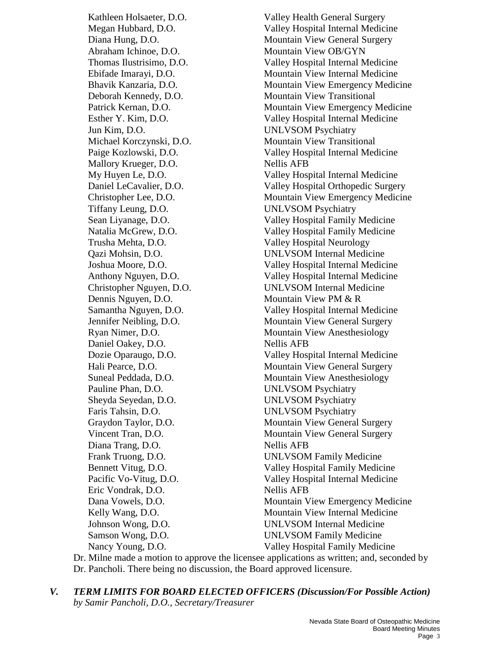Abraham Ichinoe, D.O. Mountain View OB/GYN Jun Kim, D.O. UNLVSOM Psychiatry Mallory Krueger, D.O. Nellis AFB Tiffany Leung, D.O. UNLVSOM Psychiatry Trusha Mehta, D.O. Valley Hospital Neurology Dennis Nguyen, D.O. Mountain View PM & R Daniel Oakey, D.O. Nellis AFB Pauline Phan, D.O. UNLVSOM Psychiatry Sheyda Seyedan, D.O. UNLVSOM Psychiatry Faris Tahsin, D.O. UNLVSOM Psychiatry Diana Trang, D.O. Nellis AFB Eric Vondrak, D.O. Nellis AFB Nancy Young, D.O. Valley Hospital Family Medicine

Kathleen Holsaeter, D.O. Valley Health General Surgery Megan Hubbard, D.O. Valley Hospital Internal Medicine Diana Hung, D.O. Mountain View General Surgery Thomas Ilustrisimo, D.O. Valley Hospital Internal Medicine Ebifade Imarayi, D.O. Mountain View Internal Medicine Bhavik Kanzaria, D.O. Mountain View Emergency Medicine Deborah Kennedy, D.O. Mountain View Transitional Patrick Kernan, D.O. Mountain View Emergency Medicine Esther Y. Kim, D.O. Valley Hospital Internal Medicine Michael Korczynski, D.O. Mountain View Transitional Paige Kozlowski, D.O. Valley Hospital Internal Medicine My Huyen Le, D.O. Valley Hospital Internal Medicine Daniel LeCavalier, D.O. Valley Hospital Orthopedic Surgery Christopher Lee, D.O. Mountain View Emergency Medicine Sean Liyanage, D.O. Valley Hospital Family Medicine Natalia McGrew, D.O. Valley Hospital Family Medicine Qazi Mohsin, D.O. UNLVSOM Internal Medicine Joshua Moore, D.O. Valley Hospital Internal Medicine Anthony Nguyen, D.O. Valley Hospital Internal Medicine Christopher Nguyen, D.O. UNLVSOM Internal Medicine Samantha Nguyen, D.O. Valley Hospital Internal Medicine Jennifer Neibling, D.O. Mountain View General Surgery Ryan Nimer, D.O. Mountain View Anesthesiology Dozie Oparaugo, D.O. Valley Hospital Internal Medicine Hali Pearce, D.O. Mountain View General Surgery Suneal Peddada, D.O. Mountain View Anesthesiology Graydon Taylor, D.O. Mountain View General Surgery Vincent Tran, D.O. Mountain View General Surgery Frank Truong, D.O. UNLVSOM Family Medicine Bennett Vitug, D.O. Valley Hospital Family Medicine Pacific Vo-Vitug, D.O. Valley Hospital Internal Medicine Dana Vowels, D.O. Mountain View Emergency Medicine Kelly Wang, D.O. Mountain View Internal Medicine Johnson Wong, D.O. UNLVSOM Internal Medicine Samson Wong, D.O. UNLVSOM Family Medicine

Dr. Milne made a motion to approve the licensee applications as written; and, seconded by Dr. Pancholi. There being no discussion, the Board approved licensure.

*V. TERM LIMITS FOR BOARD ELECTED OFFICERS (Discussion/For Possible Action) by Samir Pancholi, D.O., Secretary/Treasurer*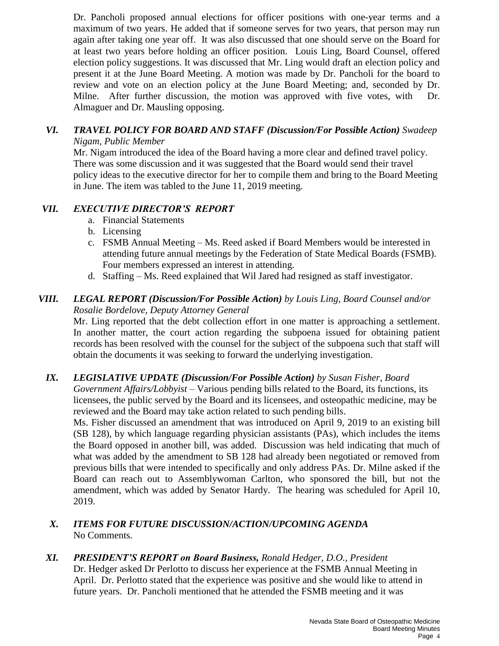Dr. Pancholi proposed annual elections for officer positions with one-year terms and a maximum of two years. He added that if someone serves for two years, that person may run again after taking one year off. It was also discussed that one should serve on the Board for at least two years before holding an officer position. Louis Ling, Board Counsel, offered election policy suggestions. It was discussed that Mr. Ling would draft an election policy and present it at the June Board Meeting. A motion was made by Dr. Pancholi for the board to review and vote on an election policy at the June Board Meeting; and, seconded by Dr. Milne. After further discussion, the motion was approved with five votes, with Dr. Almaguer and Dr. Mausling opposing.

### *VI. TRAVEL POLICY FOR BOARD AND STAFF (Discussion/For Possible Action) Swadeep Nigam, Public Member*

Mr. Nigam introduced the idea of the Board having a more clear and defined travel policy. There was some discussion and it was suggested that the Board would send their travel policy ideas to the executive director for her to compile them and bring to the Board Meeting in June. The item was tabled to the June 11, 2019 meeting.

## *VII. EXECUTIVE DIRECTOR'S REPORT*

- a. Financial Statements
- b. Licensing
- c. FSMB Annual Meeting Ms. Reed asked if Board Members would be interested in attending future annual meetings by the Federation of State Medical Boards (FSMB). Four members expressed an interest in attending.
- d. Staffing Ms. Reed explained that Wil Jared had resigned as staff investigator.

### *VIII. LEGAL REPORT (Discussion/For Possible Action) by Louis Ling, Board Counsel and/or Rosalie Bordelove, Deputy Attorney General*

Mr. Ling reported that the debt collection effort in one matter is approaching a settlement. In another matter, the court action regarding the subpoena issued for obtaining patient records has been resolved with the counsel for the subject of the subpoena such that staff will obtain the documents it was seeking to forward the underlying investigation.

### *IX. LEGISLATIVE UPDATE (Discussion/For Possible Action) by Susan Fisher, Board*

*Government Affairs/Lobbyist* – Various pending bills related to the Board, its functions, its licensees, the public served by the Board and its licensees, and osteopathic medicine, may be reviewed and the Board may take action related to such pending bills.

Ms. Fisher discussed an amendment that was introduced on April 9, 2019 to an existing bill (SB 128), by which language regarding physician assistants (PAs), which includes the items the Board opposed in another bill, was added. Discussion was held indicating that much of what was added by the amendment to SB 128 had already been negotiated or removed from previous bills that were intended to specifically and only address PAs. Dr. Milne asked if the Board can reach out to Assemblywoman Carlton, who sponsored the bill, but not the amendment, which was added by Senator Hardy. The hearing was scheduled for April 10, 2019.

### *X. ITEMS FOR FUTURE DISCUSSION/ACTION/UPCOMING AGENDA* No Comments.

### *XI. PRESIDENT'S REPORT on Board Business, Ronald Hedger, D.O., President*

Dr. Hedger asked Dr Perlotto to discuss her experience at the FSMB Annual Meeting in April. Dr. Perlotto stated that the experience was positive and she would like to attend in future years. Dr. Pancholi mentioned that he attended the FSMB meeting and it was